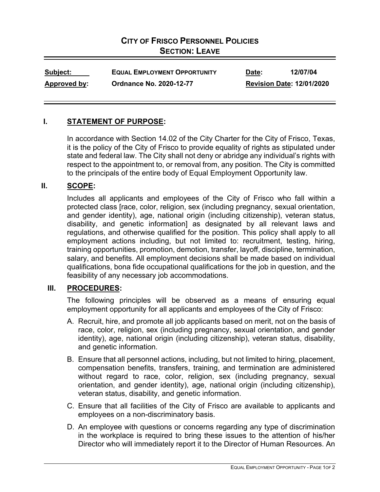# **CITY OF FRISCO PERSONNEL POLICIES SECTION: LEAVE**

| Subject:            | <b>EQUAL EMPLOYMENT OPPORTUNITY</b> | Date:                            | 12/07/04 |
|---------------------|-------------------------------------|----------------------------------|----------|
| <u>Approved by:</u> | <b>Ordnance No. 2020-12-77</b>      | <b>Revision Date: 12/01/2020</b> |          |

#### **I. STATEMENT OF PURPOSE:**

In accordance with Section 14.02 of the City Charter for the City of Frisco, Texas, it is the policy of the City of Frisco to provide equality of rights as stipulated under state and federal law. The City shall not deny or abridge any individual's rights with respect to the appointment to, or removal from, any position. The City is committed to the principals of the entire body of Equal Employment Opportunity law.

#### **II. SCOPE:**

Includes all applicants and employees of the City of Frisco who fall within a protected class [race, color, religion, sex (including pregnancy, sexual orientation, and gender identity), age, national origin (including citizenship), veteran status, disability, and genetic information] as designated by all relevant laws and regulations, and otherwise qualified for the position. This policy shall apply to all employment actions including, but not limited to: recruitment, testing, hiring, training opportunities, promotion, demotion, transfer, layoff, discipline, termination, salary, and benefits. All employment decisions shall be made based on individual qualifications, bona fide occupational qualifications for the job in question, and the feasibility of any necessary job accommodations.

## **III. PROCEDURES:**

The following principles will be observed as a means of ensuring equal employment opportunity for all applicants and employees of the City of Frisco:

- A. Recruit, hire, and promote all job applicants based on merit, not on the basis of race, color, religion, sex (including pregnancy, sexual orientation, and gender identity), age, national origin (including citizenship), veteran status, disability, and genetic information.
- B. Ensure that all personnel actions, including, but not limited to hiring, placement, compensation benefits, transfers, training, and termination are administered without regard to race, color, religion, sex (including pregnancy, sexual orientation, and gender identity), age, national origin (including citizenship), veteran status, disability, and genetic information.
- C. Ensure that all facilities of the City of Frisco are available to applicants and employees on a non-discriminatory basis.
- D. An employee with questions or concerns regarding any type of discrimination in the workplace is required to bring these issues to the attention of his/her Director who will immediately report it to the Director of Human Resources. An